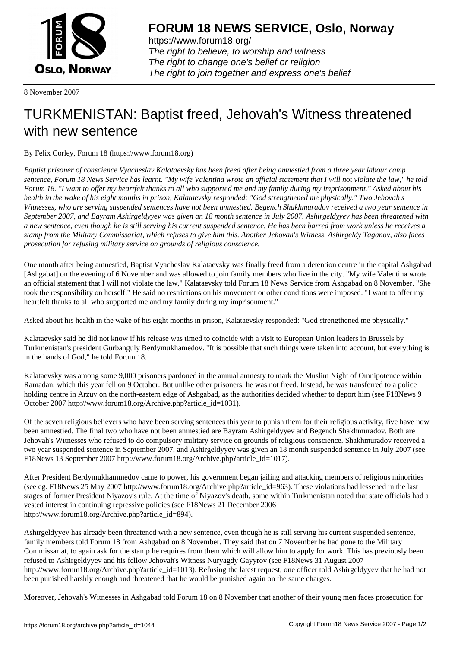

https://www.forum18.org/ The right to believe, to worship and witness The right to change one's belief or religion [The right to join together a](https://www.forum18.org/)nd express one's belief

8 November 2007

## [TURKMENISTA](https://www.forum18.org)N: Baptist freed, Jehovah's Witness threatened with new sentence

By Felix Corley, Forum 18 (https://www.forum18.org)

*Baptist prisoner of conscience Vyacheslav Kalataevsky has been freed after being amnestied from a three year labour camp sentence, Forum 18 News Service has learnt. "My wife Valentina wrote an official statement that I will not violate the law," he told Forum 18. "I want to offer my heartfelt thanks to all who supported me and my family during my imprisonment." Asked about his health in the wake of his eight months in prison, Kalataevsky responded: "God strengthened me physically." Two Jehovah's Witnesses, who are serving suspended sentences have not been amnestied. Begench Shakhmuradov received a two year sentence in September 2007, and Bayram Ashirgeldyyev was given an 18 month sentence in July 2007. Ashirgeldyyev has been threatened with a new sentence, even though he is still serving his current suspended sentence. He has been barred from work unless he receives a stamp from the Military Commissariat, which refuses to give him this. Another Jehovah's Witness, Ashirgeldy Taganov, also faces prosecution for refusing military service on grounds of religious conscience.*

One month after being amnestied, Baptist Vyacheslav Kalataevsky was finally freed from a detention centre in the capital Ashgabad [Ashgabat] on the evening of 6 November and was allowed to join family members who live in the city. "My wife Valentina wrote an official statement that I will not violate the law," Kalataevsky told Forum 18 News Service from Ashgabad on 8 November. "She took the responsibility on herself." He said no restrictions on his movement or other conditions were imposed. "I want to offer my heartfelt thanks to all who supported me and my family during my imprisonment."

Asked about his health in the wake of his eight months in prison, Kalataevsky responded: "God strengthened me physically."

Kalataevsky said he did not know if his release was timed to coincide with a visit to European Union leaders in Brussels by Turkmenistan's president Gurbanguly Berdymukhamedov. "It is possible that such things were taken into account, but everything is in the hands of God," he told Forum 18.

Kalataevsky was among some 9,000 prisoners pardoned in the annual amnesty to mark the Muslim Night of Omnipotence within Ramadan, which this year fell on 9 October. But unlike other prisoners, he was not freed. Instead, he was transferred to a police holding centre in Arzuv on the north-eastern edge of Ashgabad, as the authorities decided whether to deport him (see F18News 9 October 2007 http://www.forum18.org/Archive.php?article\_id=1031).

Of the seven religious believers who have been serving sentences this year to punish them for their religious activity, five have now been amnestied. The final two who have not been amnestied are Bayram Ashirgeldyyev and Begench Shakhmuradov. Both are Jehovah's Witnesses who refused to do compulsory military service on grounds of religious conscience. Shakhmuradov received a two year suspended sentence in September 2007, and Ashirgeldyyev was given an 18 month suspended sentence in July 2007 (see F18News 13 September 2007 http://www.forum18.org/Archive.php?article\_id=1017).

After President Berdymukhammedov came to power, his government began jailing and attacking members of religious minorities (see eg. F18News 25 May 2007 http://www.forum18.org/Archive.php?article\_id=963). These violations had lessened in the last stages of former President Niyazov's rule. At the time of Niyazov's death, some within Turkmenistan noted that state officials had a vested interest in continuing repressive policies (see F18News 21 December 2006 http://www.forum18.org/Archive.php?article\_id=894).

Ashirgeldyyev has already been threatened with a new sentence, even though he is still serving his current suspended sentence, family members told Forum 18 from Ashgabad on 8 November. They said that on 7 November he had gone to the Military Commissariat, to again ask for the stamp he requires from them which will allow him to apply for work. This has previously been refused to Ashirgeldyyev and his fellow Jehovah's Witness Nuryagdy Gayyrov (see F18News 31 August 2007 http://www.forum18.org/Archive.php?article\_id=1013). Refusing the latest request, one officer told Ashirgeldyyev that he had not been punished harshly enough and threatened that he would be punished again on the same charges.

Moreover, Jehovah's Witnesses in Ashgabad told Forum 18 on 8 November that another of their young men faces prosecution for